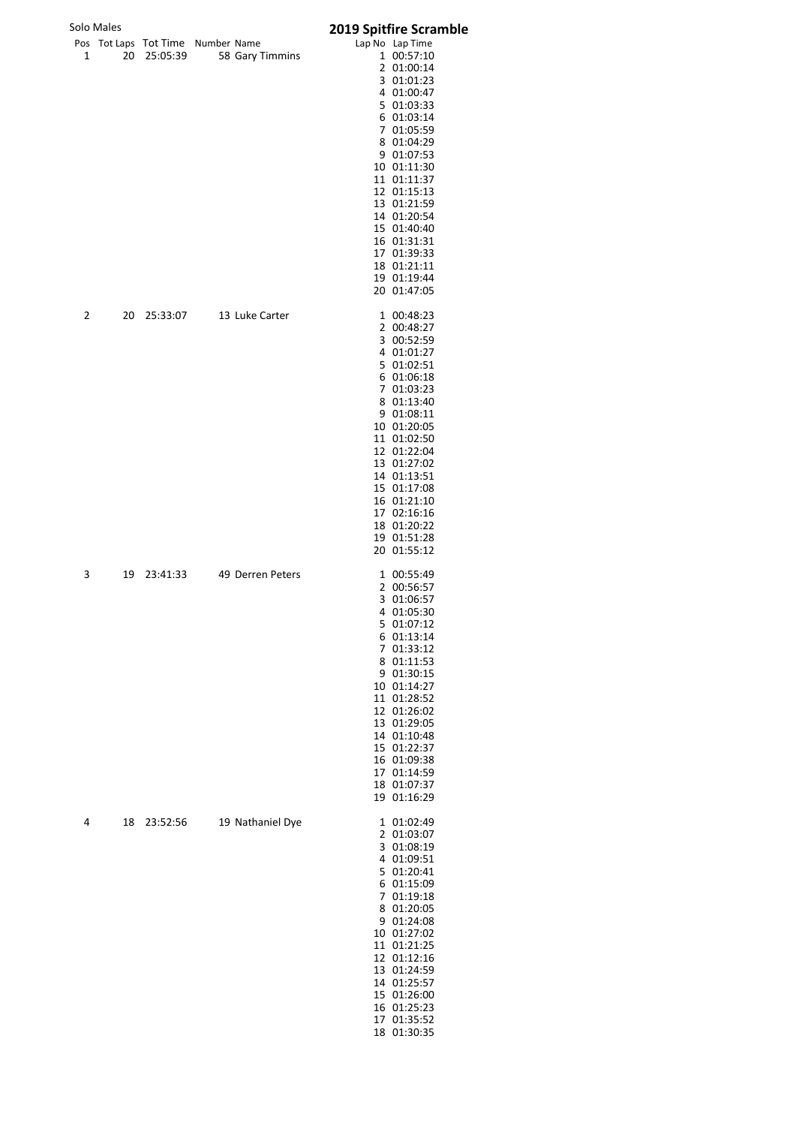|                     | Solo Males            |                                  |                  | <b>2019 Spitfire Scramble</b>                                                                                                                                                                                                                                                                                      |
|---------------------|-----------------------|----------------------------------|------------------|--------------------------------------------------------------------------------------------------------------------------------------------------------------------------------------------------------------------------------------------------------------------------------------------------------------------|
| Pos<br>$\mathbf{1}$ | <b>Tot Laps</b><br>20 | Tot Time Number Name<br>25:05:39 | 58 Gary Timmins  | Lap No Lap Time<br>1 00:57:10<br>2 01:00:14<br>3 01:01:23<br>4 01:00:47<br>5 01:03:33<br>6 01:03:14<br>7 01:05:59<br>8 01:04:29<br>9 01:07:53<br>10 01:11:30<br>11 01:11:37<br>12 01:15:13<br>13 01:21:59<br>14 01:20:54<br>15 01:40:40<br>16 01:31:31<br>17 01:39:33<br>18 01:21:11<br>19 01:19:44<br>20 01:47:05 |
| 2                   | 20                    | 25:33:07                         | 13 Luke Carter   | 1 00:48:23<br>2 00:48:27<br>3 00:52:59<br>4 01:01:27<br>5 01:02:51<br>6 01:06:18<br>7 01:03:23<br>8 01:13:40<br>9 01:08:11<br>10 01:20:05<br>11 01:02:50<br>12 01:22:04<br>13 01:27:02<br>14 01:13:51<br>15 01:17:08<br>16 01:21:10<br>17 02:16:16<br>18 01:20:22<br>19 01:51:28<br>20 01:55:12                    |
| 3                   | 19                    | 23:41:33                         | 49 Derren Peters | 1 00:55:49<br>2 00:56:57<br>3 01:06:57<br>4 01:05:30<br>5 01:07:12<br>6 01:13:14<br>7 01:33:12<br>8 01:11:53<br>9 01:30:15<br>10 01:14:27<br>11 01:28:52<br>12 01:26:02<br>13 01:29:05<br>14 01:10:48<br>15 01:22:37<br>16 01:09:38<br>17 01:14:59<br>18 01:07:37<br>19 01:16:29                                   |
| 4                   | 18                    | 23:52:56                         | 19 Nathaniel Dye | 1 01:02:49<br>2 01:03:07<br>3 01:08:19<br>4 01:09:51<br>5 01:20:41<br>6 01:15:09<br>7 01:19:18<br>8 01:20:05<br>9 01:24:08<br>10 01:27:02<br>11 01:21:25<br>12 01:12:16<br>13 01:24:59<br>14 01:25:57<br>15 01:26:00<br>16 01:25:23<br>17 01:35:52<br>18 01:30:35                                                  |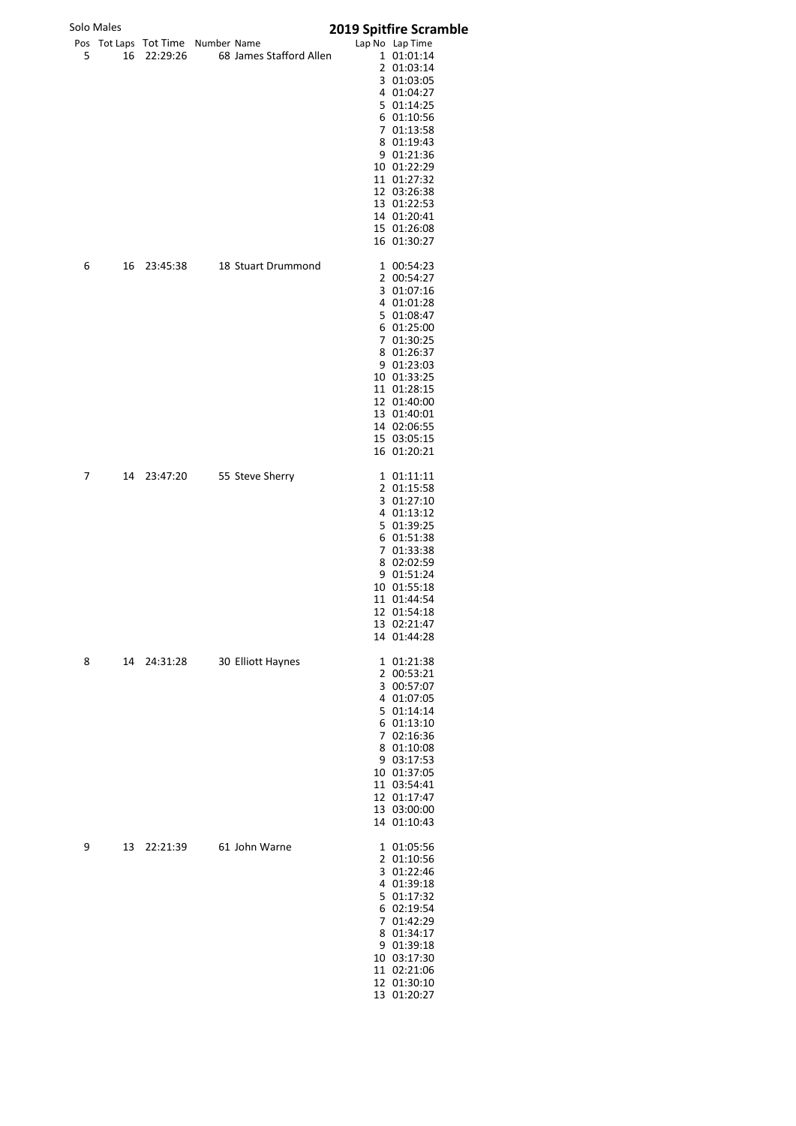| Solo Males |  |
|------------|--|
|------------|--|

## Solo Males **2019 Spitfire Scramble**

|   | olo Males |                                               |                         | <b>2019 Spitfire Scramb</b>   |
|---|-----------|-----------------------------------------------|-------------------------|-------------------------------|
| 5 | 16        | Pos Tot Laps Tot Time Number Name<br>22:29:26 | 68 James Stafford Allen | Lap No Lap Time<br>1 01:01:14 |
|   |           |                                               |                         | 2 01:03:14                    |
|   |           |                                               |                         | 3 01:03:05                    |
|   |           |                                               |                         | 4 01:04:27                    |
|   |           |                                               |                         | 5 01:14:25<br>6 01:10:56      |
|   |           |                                               |                         | 7 01:13:58                    |
|   |           |                                               |                         | 8 01:19:43                    |
|   |           |                                               |                         | 9 01:21:36                    |
|   |           |                                               |                         | 10 01:22:29<br>11 01:27:32    |
|   |           |                                               |                         | 12 03:26:38                   |
|   |           |                                               |                         | 13 01:22:53                   |
|   |           |                                               |                         | 14 01:20:41                   |
|   |           |                                               |                         | 15 01:26:08<br>16 01:30:27    |
| 6 | 16        | 23:45:38                                      | 18 Stuart Drummond      | 1 00:54:23                    |
|   |           |                                               |                         | 2 00:54:27<br>3 01:07:16      |
|   |           |                                               |                         | 4 01:01:28                    |
|   |           |                                               |                         | 5 01:08:47                    |
|   |           |                                               |                         | 6 01:25:00                    |
|   |           |                                               |                         | 7 01:30:25<br>8 01:26:37      |
|   |           |                                               |                         | 9 01:23:03                    |
|   |           |                                               |                         | 10 01:33:25                   |
|   |           |                                               |                         | 11 01:28:15                   |
|   |           |                                               |                         | 12 01:40:00<br>13 01:40:01    |
|   |           |                                               |                         | 14 02:06:55                   |
|   |           |                                               |                         | 15 03:05:15                   |
|   |           |                                               |                         | 16 01:20:21                   |
| 7 | 14        | 23:47:20                                      | 55 Steve Sherry         | 1 01:11:11                    |
|   |           |                                               |                         | 2 01:15:58<br>3 01:27:10      |
|   |           |                                               |                         | 4 01:13:12                    |
|   |           |                                               |                         | 5 01:39:25                    |
|   |           |                                               |                         | 6 01:51:38                    |
|   |           |                                               |                         | 7 01:33:38                    |
|   |           |                                               |                         | 8 02:02:59<br>9 01:51:24      |
|   |           |                                               |                         | 10 01:55:18                   |
|   |           |                                               |                         | 11 01:44:54                   |
|   |           |                                               |                         | 12 01:54:18                   |
|   |           |                                               |                         | 13 02:21:47<br>14 01:44:28    |
| 8 | 14        | 24:31:28                                      | 30 Elliott Haynes       | 1 01:21:38                    |
|   |           |                                               |                         | 2 00:53:21<br>3 00:57:07      |
|   |           |                                               |                         | 4 01:07:05                    |
|   |           |                                               |                         | 5 01:14:14                    |
|   |           |                                               |                         | 6 01:13:10                    |
|   |           |                                               |                         | 7 02:16:36<br>8 01:10:08      |
|   |           |                                               |                         | 9 03:17:53                    |
|   |           |                                               |                         | 10 01:37:05                   |
|   |           |                                               |                         | 11 03:54:41                   |
|   |           |                                               |                         | 12 01:17:47<br>13 03:00:00    |
|   |           |                                               |                         | 14 01:10:43                   |
| 9 | 13        | 22:21:39                                      | 61 John Warne           | 1 01:05:56                    |
|   |           |                                               |                         | 2 01:10:56<br>3 01:22:46      |
|   |           |                                               |                         | 4 01:39:18                    |
|   |           |                                               |                         | 5 01:17:32                    |
|   |           |                                               |                         | 6 02:19:54                    |
|   |           |                                               |                         | 7 01:42:29<br>8 01:34:17      |
|   |           |                                               |                         | 9 01:39:18                    |
|   |           |                                               |                         | 10 03:17:30                   |
|   |           |                                               |                         | 11 02:21:06                   |
|   |           |                                               |                         | 12 01:30:10                   |
|   |           |                                               |                         | 13 01:20:27                   |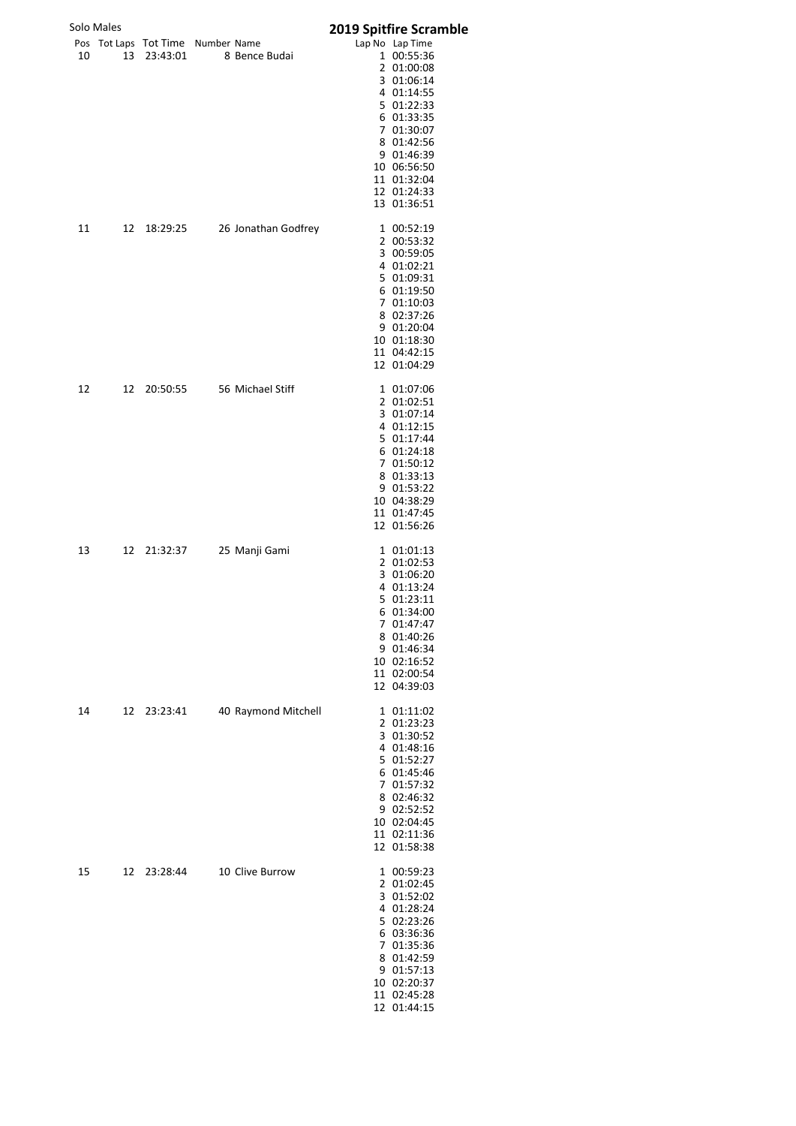|    | Solo Males |                                               |                     | 2019 Spitfire Scramble                                                                                                                                                                     |
|----|------------|-----------------------------------------------|---------------------|--------------------------------------------------------------------------------------------------------------------------------------------------------------------------------------------|
| 10 | 13         | Pos Tot Laps Tot Time Number Name<br>23:43:01 | 8 Bence Budai       | Lap No Lap Time<br>1 00:55:36<br>2 01:00:08<br>3 01:06:14<br>4 01:14:55<br>5 01:22:33<br>6 01:33:35<br>7 01:30:07<br>8 01:42:56<br>9 01:46:39<br>10 06:56:50<br>11 01:32:04<br>12 01:24:33 |
| 11 | 12         | 18:29:25                                      | 26 Jonathan Godfrey | 13 01:36:51<br>1 00:52:19<br>2 00:53:32<br>3 00:59:05<br>4 01:02:21<br>5 01:09:31<br>6 01:19:50<br>7 01:10:03<br>8 02:37:26<br>9 01:20:04<br>10 01:18:30<br>11 04:42:15<br>12 01:04:29     |
| 12 | 12         | 20:50:55                                      | 56 Michael Stiff    | 1 01:07:06<br>2 01:02:51<br>3 01:07:14<br>4 01:12:15<br>5 01:17:44<br>6 01:24:18<br>7 01:50:12<br>8 01:33:13<br>9 01:53:22<br>10 04:38:29<br>11 01:47:45<br>12 01:56:26                    |
| 13 | 12         | 21:32:37                                      | 25 Manji Gami       | 1 01:01:13<br>2 01:02:53<br>3 01:06:20<br>4 01:13:24<br>5 01:23:11<br>6 01:34:00<br>7 01:47:47<br>8 01:40:26<br>9 01:46:34<br>10 02:16:52<br>11 02:00:54<br>12 04:39:03                    |
| 14 | 12         | 23:23:41                                      | 40 Raymond Mitchell | 1 01:11:02<br>2 01:23:23<br>3 01:30:52<br>4 01:48:16<br>5 01:52:27<br>6 01:45:46<br>7 01:57:32<br>8 02:46:32<br>9 02:52:52<br>10 02:04:45<br>11 02:11:36<br>12 01:58:38                    |
| 15 | 12         | 23:28:44                                      | 10 Clive Burrow     | 1 00:59:23<br>2 01:02:45<br>3 01:52:02<br>4 01:28:24<br>5 02:23:26<br>6 03:36:36<br>7 01:35:36<br>8 01:42:59<br>9 01:57:13<br>10 02:20:37<br>11 02:45:28<br>12 01:44:15                    |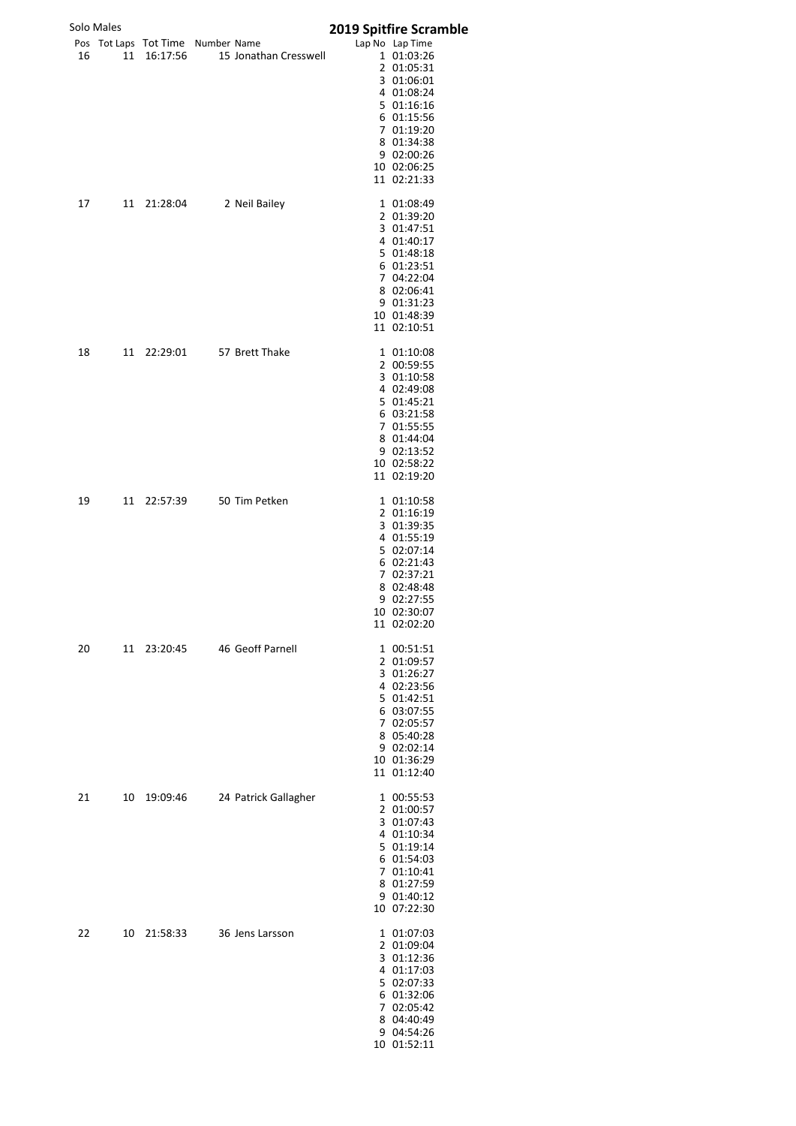|    | Solo Males |                                               |                       | 2019 Spitfire Scramble                                                                                                                                                      |
|----|------------|-----------------------------------------------|-----------------------|-----------------------------------------------------------------------------------------------------------------------------------------------------------------------------|
| 16 | 11         | Pos Tot Laps Tot Time Number Name<br>16:17:56 | 15 Jonathan Cresswell | Lap No Lap Time<br>1 01:03:26<br>2 01:05:31<br>3 01:06:01<br>4 01:08:24<br>5 01:16:16<br>6 01:15:56<br>7 01:19:20<br>8 01:34:38<br>9 02:00:26<br>10 02:06:25<br>11 02:21:33 |
| 17 | 11         | 21:28:04                                      | 2 Neil Bailey         | 1 01:08:49<br>2 01:39:20<br>3 01:47:51<br>4 01:40:17<br>5 01:48:18<br>6 01:23:51<br>7 04:22:04<br>8 02:06:41<br>9 01:31:23<br>10 01:48:39<br>11 02:10:51                    |
| 18 | 11         | 22:29:01                                      | 57 Brett Thake        | 1 01:10:08<br>2 00:59:55<br>3 01:10:58<br>4 02:49:08<br>5 01:45:21<br>6 03:21:58<br>7 01:55:55<br>8 01:44:04<br>9 02:13:52<br>10 02:58:22<br>11 02:19:20                    |
| 19 |            | 11 22:57:39                                   | 50 Tim Petken         | 1 01:10:58<br>2 01:16:19<br>3 01:39:35<br>4 01:55:19<br>5 02:07:14<br>6 02:21:43<br>7 02:37:21<br>8 02:48:48<br>9 02:27:55<br>10 02:30:07<br>11 02:02:20                    |
| 20 | 11         | 23:20:45                                      | 46 Geoff Parnell      | 1 00:51:51<br>2 01:09:57<br>3 01:26:27<br>4 02:23:56<br>5 01:42:51<br>6 03:07:55<br>7 02:05:57<br>8 05:40:28<br>9 02:02:14<br>10 01:36:29<br>11 01:12:40                    |
| 21 | 10         | 19:09:46                                      | 24 Patrick Gallagher  | 1 00:55:53<br>2 01:00:57<br>3 01:07:43<br>4 01:10:34<br>5 01:19:14<br>6 01:54:03<br>7 01:10:41<br>8 01:27:59<br>9 01:40:12<br>10 07:22:30                                   |
| 22 | 10         | 21:58:33                                      | 36 Jens Larsson       | 1 01:07:03<br>2 01:09:04<br>3 01:12:36<br>4 01:17:03<br>5 02:07:33<br>6 01:32:06<br>7 02:05:42<br>8 04:40:49<br>9 04:54:26<br>10 01:52:11                                   |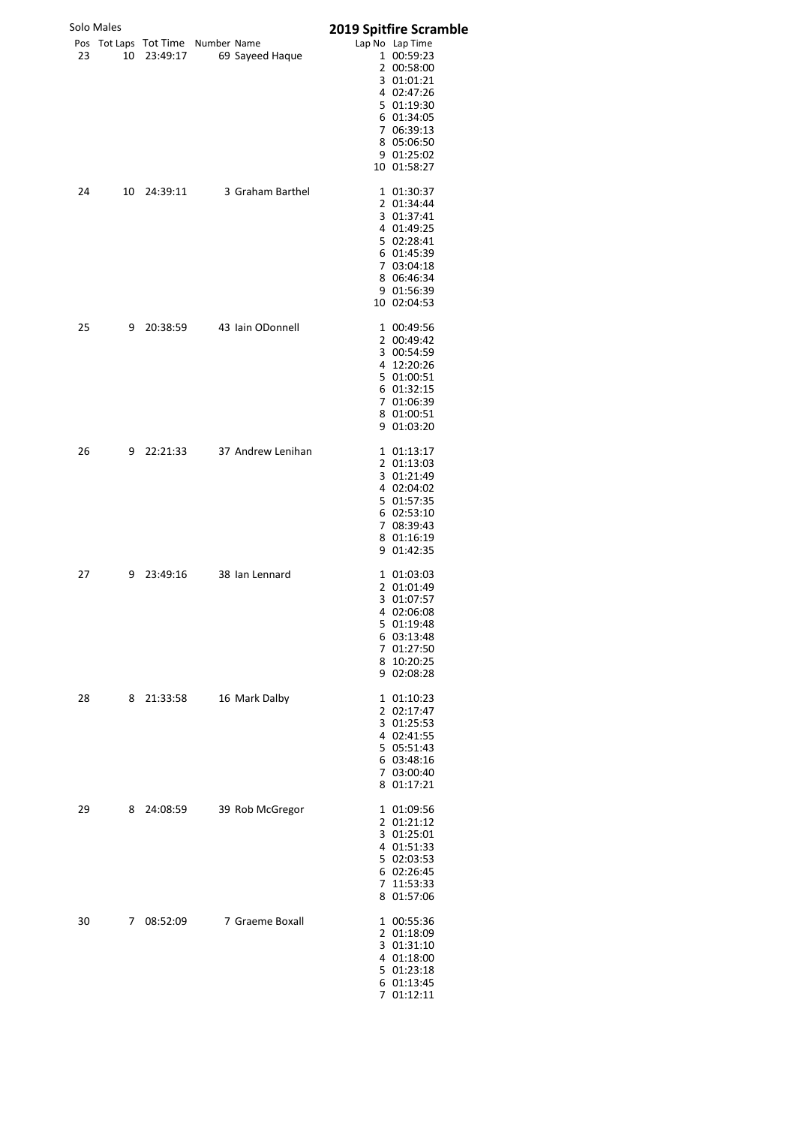|    | Solo Males |                                                  |                   |                                                                                                                                                                                               |
|----|------------|--------------------------------------------------|-------------------|-----------------------------------------------------------------------------------------------------------------------------------------------------------------------------------------------|
| 23 |            | Pos Tot Laps Tot Time Number Name<br>10 23:49:17 | 69 Sayeed Haque   | <b>2019 Spitfire Scramble</b><br>Lap No Lap Time<br>1 00:59:23<br>2 00:58:00<br>3 01:01:21<br>4 02:47:26<br>5 01:19:30<br>6 01:34:05<br>7 06:39:13<br>8 05:06:50<br>9 01:25:02<br>10 01:58:27 |
| 24 | 10         | 24:39:11                                         | 3 Graham Barthel  | 1 01:30:37<br>2 01:34:44<br>3 01:37:41<br>4 01:49:25<br>5 02:28:41<br>6 01:45:39<br>7 03:04:18<br>8 06:46:34<br>9 01:56:39<br>10 02:04:53                                                     |
| 25 | 9          | 20:38:59                                         | 43 Iain ODonnell  | 1 00:49:56<br>2 00:49:42<br>3 00:54:59<br>4 12:20:26<br>5 01:00:51<br>6 01:32:15<br>7 01:06:39<br>8 01:00:51<br>9 01:03:20                                                                    |
| 26 |            | 9 22:21:33                                       | 37 Andrew Lenihan | 1 01:13:17<br>2 01:13:03<br>3 01:21:49<br>4 02:04:02<br>5 01:57:35<br>6 02:53:10<br>7 08:39:43<br>8 01:16:19<br>9 01:42:35                                                                    |
| 27 | 9          | 23:49:16                                         | 38 Ian Lennard    | 1 01:03:03<br>2 01:01:49<br>3 01:07:57<br>4 02:06:08<br>5 01:19:48<br>6 03:13:48<br>7 01:27:50<br>8 10:20:25<br>9 02:08:28                                                                    |
| 28 | 8          | 21:33:58                                         | 16 Mark Dalby     | 1 01:10:23<br>2 02:17:47<br>3 01:25:53<br>4 02:41:55<br>5 05:51:43<br>6 03:48:16<br>7 03:00:40<br>8 01:17:21                                                                                  |
| 29 | 8          | 24:08:59                                         | 39 Rob McGregor   | 1 01:09:56<br>2 01:21:12<br>3 01:25:01<br>4 01:51:33<br>5 02:03:53<br>6 02:26:45<br>7 11:53:33<br>8 01:57:06                                                                                  |
| 30 | 7          | 08:52:09                                         | 7 Graeme Boxall   | 1 00:55:36<br>2 01:18:09<br>3 01:31:10<br>4 01:18:00<br>5 01:23:18<br>6 01:13:45<br>7 01:12:11                                                                                                |